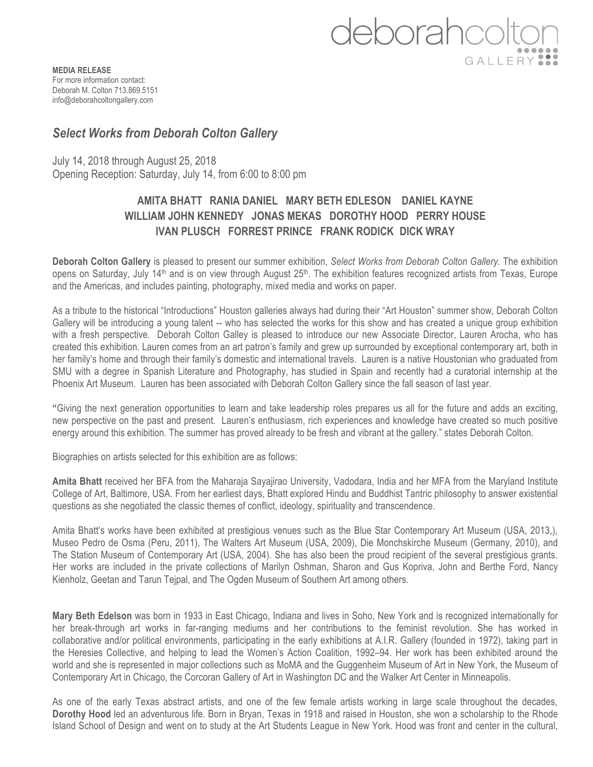

**MEDIA RELEASE** For more information contact: Deborah M. Colton 713.869.5151 info@deborahcoltongallery.com

## *Select Works from Deborah Colton Gallery*

July 14, 2018 through August 25, 2018 Opening Reception: Saturday, July 14, from 6:00 to 8:00 pm

## **AMITA BHATT RANIA DANIEL MARY BETH EDLESON DANIEL KAYNE WILLIAM JOHN KENNEDY JONAS MEKAS DOROTHY HOOD PERRY HOUSE IVAN PLUSCH FORREST PRINCE FRANK RODICK DICK WRAY**

**Deborah Colton Gallery** is pleased to present our summer exhibition, *Select Works from Deborah Colton Gallery.* The exhibition opens on Saturday, July 14<sup>th</sup> and is on view through August  $25<sup>th</sup>$ . The exhibition features recognized artists from Texas, Europe and the Americas, and includes painting, photography, mixed media and works on paper.

As a tribute to the historical "Introductions" Houston galleries always had during their "Art Houston" summer show, Deborah Colton Gallery will be introducing a young talent -- who has selected the works for this show and has created a unique group exhibition with a fresh perspective. Deborah Colton Galley is pleased to introduce our new Associate Director, Lauren Arocha, who has created this exhibition. Lauren comes from an art patron's family and grew up surrounded by exceptional contemporary art, both in her family's home and through their family's domestic and international travels. Lauren is a native Houstonian who graduated from SMU with a degree in Spanish Literature and Photography, has studied in Spain and recently had a curatorial internship at the Phoenix Art Museum. Lauren has been associated with Deborah Colton Gallery since the fall season of last year.

**"**Giving the next generation opportunities to learn and take leadership roles prepares us all for the future and adds an exciting, new perspective on the past and present. Lauren's enthusiasm, rich experiences and knowledge have created so much positive energy around this exhibition. The summer has proved already to be fresh and vibrant at the gallery." states Deborah Colton.

Biographies on artists selected for this exhibition are as follows:

**Amita Bhatt** received her BFA from the Maharaja Sayajirao University, Vadodara, India and her MFA from the Maryland Institute College of Art, Baltimore, USA. From her earliest days, Bhatt explored Hindu and Buddhist Tantric philosophy to answer existential questions as she negotiated the classic themes of conflict, ideology, spirituality and transcendence.

Amita Bhatt's works have been exhibited at prestigious venues such as the Blue Star Contemporary Art Museum (USA, 2013,), Museo Pedro de Osma (Peru, 2011), The Walters Art Museum (USA, 2009), Die Monchskirche Museum (Germany, 2010), and The Station Museum of Contemporary Art (USA, 2004). She has also been the proud recipient of the several prestigious grants. Her works are included in the private collections of Marilyn Oshman, Sharon and Gus Kopriva, John and Berthe Ford, Nancy Kienholz, Geetan and Tarun Tejpal, and The Ogden Museum of Southern Art among others.

**Mary Beth Edelson** was born in 1933 in East Chicago, Indiana and lives in Soho, New York and is recognized internationally for her break-through art works in far-ranging mediums and her contributions to the feminist revolution. She has worked in collaborative and/or political environments, participating in the early exhibitions at A.I.R. Gallery (founded in 1972), taking part in the Heresies Collective, and helping to lead the Women's Action Coalition, 1992–94. Her work has been exhibited around the world and she is represented in major collections such as MoMA and the Guggenheim Museum of Art in New York, the Museum of Contemporary Art in Chicago, the Corcoran Gallery of Art in Washington DC and the Walker Art Center in Minneapolis.

As one of the early Texas abstract artists, and one of the few female artists working in large scale throughout the decades, **Dorothy Hood** led an adventurous life. Born in Bryan, Texas in 1918 and raised in Houston, she won a scholarship to the Rhode Island School of Design and went on to study at the Art Students League in New York. Hood was front and center in the cultural,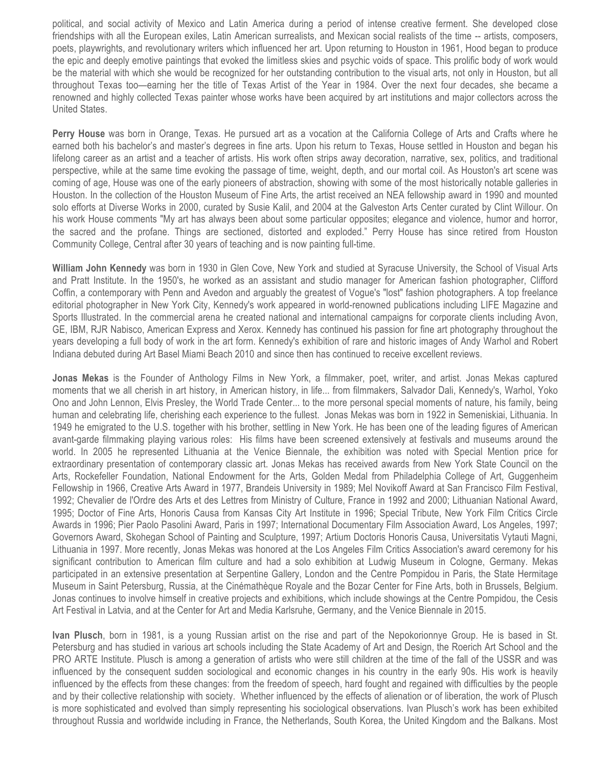political, and social activity of Mexico and Latin America during a period of intense creative ferment. She developed close friendships with all the European exiles, Latin American surrealists, and Mexican social realists of the time -- artists, composers, poets, playwrights, and revolutionary writers which influenced her art. Upon returning to Houston in 1961, Hood began to produce the epic and deeply emotive paintings that evoked the limitless skies and psychic voids of space. This prolific body of work would be the material with which she would be recognized for her outstanding contribution to the visual arts, not only in Houston, but all throughout Texas too—earning her the title of Texas Artist of the Year in 1984. Over the next four decades, she became a renowned and highly collected Texas painter whose works have been acquired by art institutions and major collectors across the United States.

**Perry House** was born in Orange, Texas. He pursued art as a vocation at the California College of Arts and Crafts where he earned both his bachelor's and master's degrees in fine arts. Upon his return to Texas, House settled in Houston and began his lifelong career as an artist and a teacher of artists. His work often strips away decoration, narrative, sex, politics, and traditional perspective, while at the same time evoking the passage of time, weight, depth, and our mortal coil. As Houston's art scene was coming of age, House was one of the early pioneers of abstraction, showing with some of the most historically notable galleries in Houston. In the collection of the Houston Museum of Fine Arts, the artist received an NEA fellowship award in 1990 and mounted solo efforts at Diverse Works in 2000, curated by Susie Kalil, and 2004 at the Galveston Arts Center curated by Clint Willour. On his work House comments "My art has always been about some particular opposites; elegance and violence, humor and horror, the sacred and the profane. Things are sectioned, distorted and exploded." Perry House has since retired from Houston Community College, Central after 30 years of teaching and is now painting full-time.

**William John Kennedy** was born in 1930 in Glen Cove, New York and studied at Syracuse University, the School of Visual Arts and Pratt Institute. In the 1950's, he worked as an assistant and studio manager for American fashion photographer, Clifford Coffin, a contemporary with Penn and Avedon and arguably the greatest of Vogue's "lost" fashion photographers. A top freelance editorial photographer in New York City, Kennedy's work appeared in world-renowned publications including LIFE Magazine and Sports Illustrated. In the commercial arena he created national and international campaigns for corporate clients including Avon, GE, IBM, RJR Nabisco, American Express and Xerox. Kennedy has continued his passion for fine art photography throughout the years developing a full body of work in the art form. Kennedy's exhibition of rare and historic images of Andy Warhol and Robert Indiana debuted during Art Basel Miami Beach 2010 and since then has continued to receive excellent reviews.

**Jonas Mekas** is the Founder of Anthology Films in New York, a filmmaker, poet, writer, and artist. Jonas Mekas captured moments that we all cherish in art history, in American history, in life... from filmmakers, Salvador Dali, Kennedy's, Warhol, Yoko Ono and John Lennon, Elvis Presley, the World Trade Center... to the more personal special moments of nature, his family, being human and celebrating life, cherishing each experience to the fullest. Jonas Mekas was born in 1922 in Semeniskiai, Lithuania. In 1949 he emigrated to the U.S. together with his brother, settling in New York. He has been one of the leading figures of American avant-garde filmmaking playing various roles: His films have been screened extensively at festivals and museums around the world. In 2005 he represented Lithuania at the Venice Biennale, the exhibition was noted with Special Mention price for extraordinary presentation of contemporary classic art. Jonas Mekas has received awards from New York State Council on the Arts, Rockefeller Foundation, National Endowment for the Arts, Golden Medal from Philadelphia College of Art, Guggenheim Fellowship in 1966, Creative Arts Award in 1977, Brandeis University in 1989; Mel Novikoff Award at San Francisco Film Festival, 1992; Chevalier de l'Ordre des Arts et des Lettres from Ministry of Culture, France in 1992 and 2000; Lithuanian National Award, 1995; Doctor of Fine Arts, Honoris Causa from Kansas City Art Institute in 1996; Special Tribute, New York Film Critics Circle Awards in 1996; Pier Paolo Pasolini Award, Paris in 1997; International Documentary Film Association Award, Los Angeles, 1997; Governors Award, Skohegan School of Painting and Sculpture, 1997; Artium Doctoris Honoris Causa, Universitatis Vytauti Magni, Lithuania in 1997. More recently, Jonas Mekas was honored at the Los Angeles Film Critics Association's award ceremony for his significant contribution to American film culture and had a solo exhibition at Ludwig Museum in Cologne, Germany. Mekas participated in an extensive presentation at Serpentine Gallery, London and the Centre Pompidou in Paris, the State Hermitage Museum in Saint Petersburg, Russia, at the Cinémathèque Royale and the Bozar Center for Fine Arts, both in Brussels, Belgium. Jonas continues to involve himself in creative projects and exhibitions, which include showings at the Centre Pompidou, the Cesis Art Festival in Latvia, and at the Center for Art and Media Karlsruhe, Germany, and the Venice Biennale in 2015.

**Ivan Plusch**, born in 1981, is a young Russian artist on the rise and part of the Nepokorionnye Group. He is based in St. Petersburg and has studied in various art schools including the State Academy of Art and Design, the Roerich Art School and the PRO ARTE Institute. Plusch is among a generation of artists who were still children at the time of the fall of the USSR and was influenced by the consequent sudden sociological and economic changes in his country in the early 90s. His work is heavily influenced by the effects from these changes: from the freedom of speech, hard fought and regained with difficulties by the people and by their collective relationship with society. Whether influenced by the effects of alienation or of liberation, the work of Plusch is more sophisticated and evolved than simply representing his sociological observations. Ivan Plusch's work has been exhibited throughout Russia and worldwide including in France, the Netherlands, South Korea, the United Kingdom and the Balkans. Most